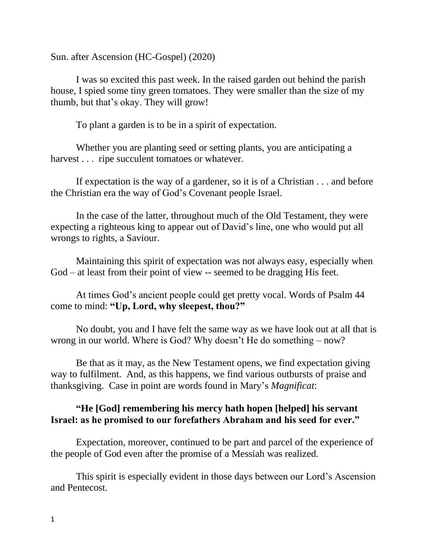Sun. after Ascension (HC-Gospel) (2020)

I was so excited this past week. In the raised garden out behind the parish house, I spied some tiny green tomatoes. They were smaller than the size of my thumb, but that's okay. They will grow!

To plant a garden is to be in a spirit of expectation.

Whether you are planting seed or setting plants, you are anticipating a harvest . . . ripe succulent tomatoes or whatever.

If expectation is the way of a gardener, so it is of a Christian . . . and before the Christian era the way of God's Covenant people Israel.

In the case of the latter, throughout much of the Old Testament, they were expecting a righteous king to appear out of David's line, one who would put all wrongs to rights, a Saviour.

Maintaining this spirit of expectation was not always easy, especially when God – at least from their point of view -- seemed to be dragging His feet.

At times God's ancient people could get pretty vocal. Words of Psalm 44 come to mind: **"Up, Lord, why sleepest, thou?"**

No doubt, you and I have felt the same way as we have look out at all that is wrong in our world. Where is God? Why doesn't He do something – now?

Be that as it may, as the New Testament opens, we find expectation giving way to fulfilment. And, as this happens, we find various outbursts of praise and thanksgiving. Case in point are words found in Mary's *Magnificat*:

## **"He [God] remembering his mercy hath hopen [helped] his servant Israel: as he promised to our forefathers Abraham and his seed for ever."**

Expectation, moreover, continued to be part and parcel of the experience of the people of God even after the promise of a Messiah was realized.

This spirit is especially evident in those days between our Lord's Ascension and Pentecost.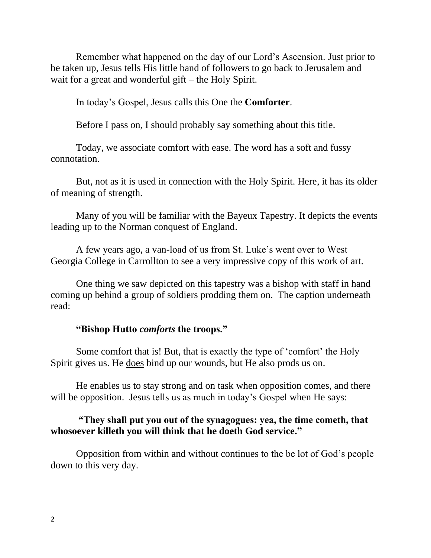Remember what happened on the day of our Lord's Ascension. Just prior to be taken up, Jesus tells His little band of followers to go back to Jerusalem and wait for a great and wonderful gift – the Holy Spirit.

In today's Gospel, Jesus calls this One the **Comforter**.

Before I pass on, I should probably say something about this title.

Today, we associate comfort with ease. The word has a soft and fussy connotation.

But, not as it is used in connection with the Holy Spirit. Here, it has its older of meaning of strength.

Many of you will be familiar with the Bayeux Tapestry. It depicts the events leading up to the [Norman conquest of England.](https://en.wikipedia.org/wiki/Norman_conquest_of_England)

A few years ago, a van-load of us from St. Luke's went over to West Georgia College in Carrollton to see a very impressive copy of this work of art.

One thing we saw depicted on this tapestry was a bishop with staff in hand coming up behind a group of soldiers prodding them on. The caption underneath read:

## **"Bishop Hutto** *comforts* **the troops."**

Some comfort that is! But, that is exactly the type of 'comfort' the Holy Spirit gives us. He does bind up our wounds, but He also prods us on.

He enables us to stay strong and on task when opposition comes, and there will be opposition. Jesus tells us as much in today's Gospel when He says:

## **"They shall put you out of the synagogues: yea, the time cometh, that whosoever killeth you will think that he doeth God service."**

Opposition from within and without continues to the be lot of God's people down to this very day.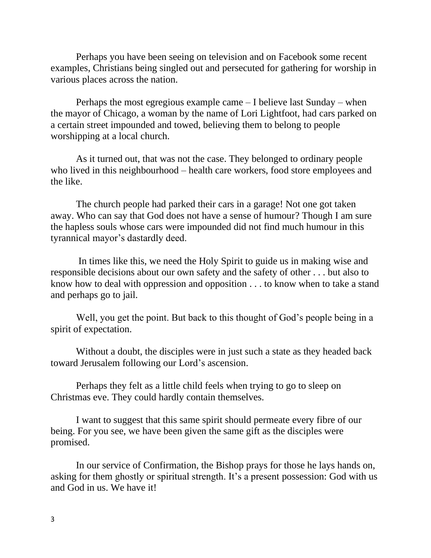Perhaps you have been seeing on television and on Facebook some recent examples, Christians being singled out and persecuted for gathering for worship in various places across the nation.

Perhaps the most egregious example came – I believe last Sunday – when the mayor of Chicago, a woman by the name of Lori Lightfoot, had cars parked on a certain street impounded and towed, believing them to belong to people worshipping at a local church.

As it turned out, that was not the case. They belonged to ordinary people who lived in this neighbourhood – health care workers, food store employees and the like.

The church people had parked their cars in a garage! Not one got taken away. Who can say that God does not have a sense of humour? Though I am sure the hapless souls whose cars were impounded did not find much humour in this tyrannical mayor's dastardly deed.

In times like this, we need the Holy Spirit to guide us in making wise and responsible decisions about our own safety and the safety of other . . . but also to know how to deal with oppression and opposition . . . to know when to take a stand and perhaps go to jail.

Well, you get the point. But back to this thought of God's people being in a spirit of expectation.

Without a doubt, the disciples were in just such a state as they headed back toward Jerusalem following our Lord's ascension.

Perhaps they felt as a little child feels when trying to go to sleep on Christmas eve. They could hardly contain themselves.

I want to suggest that this same spirit should permeate every fibre of our being. For you see, we have been given the same gift as the disciples were promised.

In our service of Confirmation, the Bishop prays for those he lays hands on, asking for them ghostly or spiritual strength. It's a present possession: God with us and God in us. We have it!